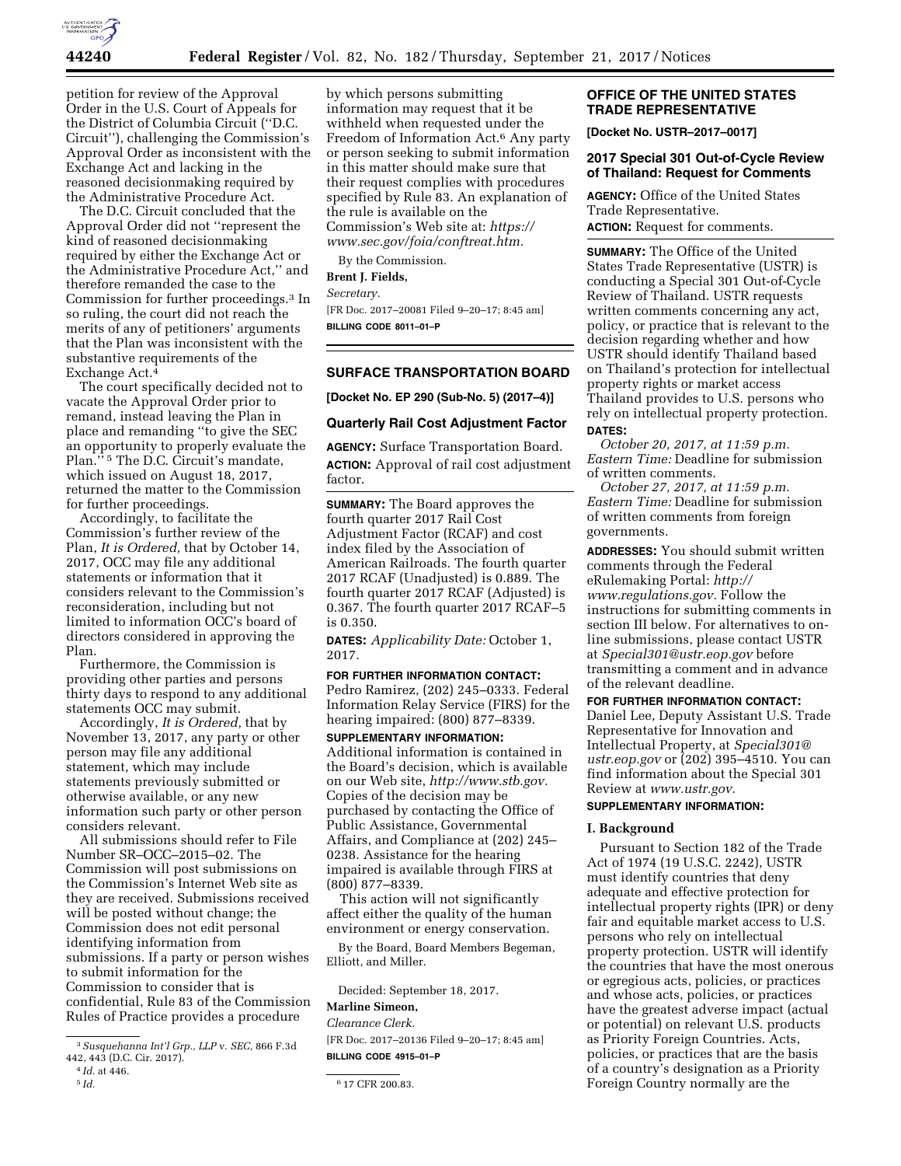

petition for review of the Approval Order in the U.S. Court of Appeals for the District of Columbia Circuit (''D.C. Circuit''), challenging the Commission's Approval Order as inconsistent with the Exchange Act and lacking in the reasoned decisionmaking required by the Administrative Procedure Act.

The D.C. Circuit concluded that the Approval Order did not ''represent the kind of reasoned decisionmaking required by either the Exchange Act or the Administrative Procedure Act,'' and therefore remanded the case to the Commission for further proceedings.3 In so ruling, the court did not reach the merits of any of petitioners' arguments that the Plan was inconsistent with the substantive requirements of the Exchange Act.4

The court specifically decided not to vacate the Approval Order prior to remand, instead leaving the Plan in place and remanding ''to give the SEC an opportunity to properly evaluate the Plan.'' 5 The D.C. Circuit's mandate, which issued on August 18, 2017, returned the matter to the Commission for further proceedings.

Accordingly, to facilitate the Commission's further review of the Plan, *It is Ordered,* that by October 14, 2017, OCC may file any additional statements or information that it considers relevant to the Commission's reconsideration, including but not limited to information OCC's board of directors considered in approving the Plan.

Furthermore, the Commission is providing other parties and persons thirty days to respond to any additional statements OCC may submit.

Accordingly, *It is Ordered,* that by November 13, 2017, any party or other person may file any additional statement, which may include statements previously submitted or otherwise available, or any new information such party or other person considers relevant.

All submissions should refer to File Number SR–OCC–2015–02. The Commission will post submissions on the Commission's Internet Web site as they are received. Submissions received will be posted without change; the Commission does not edit personal identifying information from submissions. If a party or person wishes to submit information for the Commission to consider that is confidential, Rule 83 of the Commission Rules of Practice provides a procedure

3*Susquehanna Int'l Grp., LLP* v. *SEC,* 866 F.3d 442, 443 (D.C. Cir. 2017).

by which persons submitting information may request that it be withheld when requested under the Freedom of Information Act.6 Any party or person seeking to submit information in this matter should make sure that their request complies with procedures specified by Rule 83. An explanation of the rule is available on the Commission's Web site at: *[https://](https://www.sec.gov/foia/conftreat.htm) [www.sec.gov/foia/conftreat.htm.](https://www.sec.gov/foia/conftreat.htm)* 

By the Commission.

**Brent J. Fields,** 

*Secretary.* 

[FR Doc. 2017–20081 Filed 9–20–17; 8:45 am] **BILLING CODE 8011–01–P** 

# **SURFACE TRANSPORTATION BOARD**

**[Docket No. EP 290 (Sub-No. 5) (2017–4)]** 

## **Quarterly Rail Cost Adjustment Factor**

**AGENCY:** Surface Transportation Board. **ACTION:** Approval of rail cost adjustment factor.

**SUMMARY:** The Board approves the fourth quarter 2017 Rail Cost Adjustment Factor (RCAF) and cost index filed by the Association of American Railroads. The fourth quarter 2017 RCAF (Unadjusted) is 0.889. The fourth quarter 2017 RCAF (Adjusted) is 0.367. The fourth quarter 2017 RCAF–5 is 0.350.

**DATES:** *Applicability Date:* October 1, 2017.

## **FOR FURTHER INFORMATION CONTACT:**

Pedro Ramirez, (202) 245–0333. Federal Information Relay Service (FIRS) for the hearing impaired: (800) 877–8339.

**SUPPLEMENTARY INFORMATION:**  Additional information is contained in the Board's decision, which is available on our Web site, *[http://www.stb.gov.](http://www.stb.gov)*  Copies of the decision may be purchased by contacting the Office of Public Assistance, Governmental Affairs, and Compliance at (202) 245– 0238. Assistance for the hearing impaired is available through FIRS at (800) 877–8339.

This action will not significantly affect either the quality of the human environment or energy conservation.

By the Board, Board Members Begeman, Elliott, and Miller.

Decided: September 18, 2017.

# **Marline Simeon,**

*Clearance Clerk.*  [FR Doc. 2017–20136 Filed 9–20–17; 8:45 am] **BILLING CODE 4915–01–P** 

# **OFFICE OF THE UNITED STATES TRADE REPRESENTATIVE**

**[Docket No. USTR–2017–0017]** 

## **2017 Special 301 Out-of-Cycle Review of Thailand: Request for Comments**

**AGENCY:** Office of the United States Trade Representative.

**ACTION:** Request for comments.

**SUMMARY:** The Office of the United States Trade Representative (USTR) is conducting a Special 301 Out-of-Cycle Review of Thailand. USTR requests written comments concerning any act, policy, or practice that is relevant to the decision regarding whether and how USTR should identify Thailand based on Thailand's protection for intellectual property rights or market access Thailand provides to U.S. persons who rely on intellectual property protection. **DATES:**

*October 20, 2017, at 11:59 p.m. Eastern Time:* Deadline for submission of written comments.

*October 27, 2017, at 11:59 p.m. Eastern Time:* Deadline for submission of written comments from foreign governments.

**ADDRESSES:** You should submit written comments through the Federal eRulemaking Portal: *[http://](http://www.regulations.gov) [www.regulations.gov.](http://www.regulations.gov)* Follow the instructions for submitting comments in section III below. For alternatives to online submissions, please contact USTR at *[Special301@ustr.eop.gov](mailto:Special301@ustr.eop.gov)* before transmitting a comment and in advance of the relevant deadline.

**FOR FURTHER INFORMATION CONTACT:**  Daniel Lee, Deputy Assistant U.S. Trade Representative for Innovation and Intellectual Property, at *[Special301@](mailto:Special301@ustr.eop.gov) [ustr.eop.gov](mailto:Special301@ustr.eop.gov)* or (202) 395–4510. You can find information about the Special 301 Review at *[www.ustr.gov.](http://www.ustr.gov)* 

# **SUPPLEMENTARY INFORMATION:**

#### **I. Background**

Pursuant to Section 182 of the Trade Act of 1974 (19 U.S.C. 2242), USTR must identify countries that deny adequate and effective protection for intellectual property rights (IPR) or deny fair and equitable market access to U.S. persons who rely on intellectual property protection. USTR will identify the countries that have the most onerous or egregious acts, policies, or practices and whose acts, policies, or practices have the greatest adverse impact (actual or potential) on relevant U.S. products as Priority Foreign Countries. Acts, policies, or practices that are the basis of a country's designation as a Priority Foreign Country normally are the

 $^4$   $\mathit{Id}.$  at 446.  $^5$   $\mathit{Id}.$ 

<sup>5</sup> *Id.* 6 17 CFR 200.83.